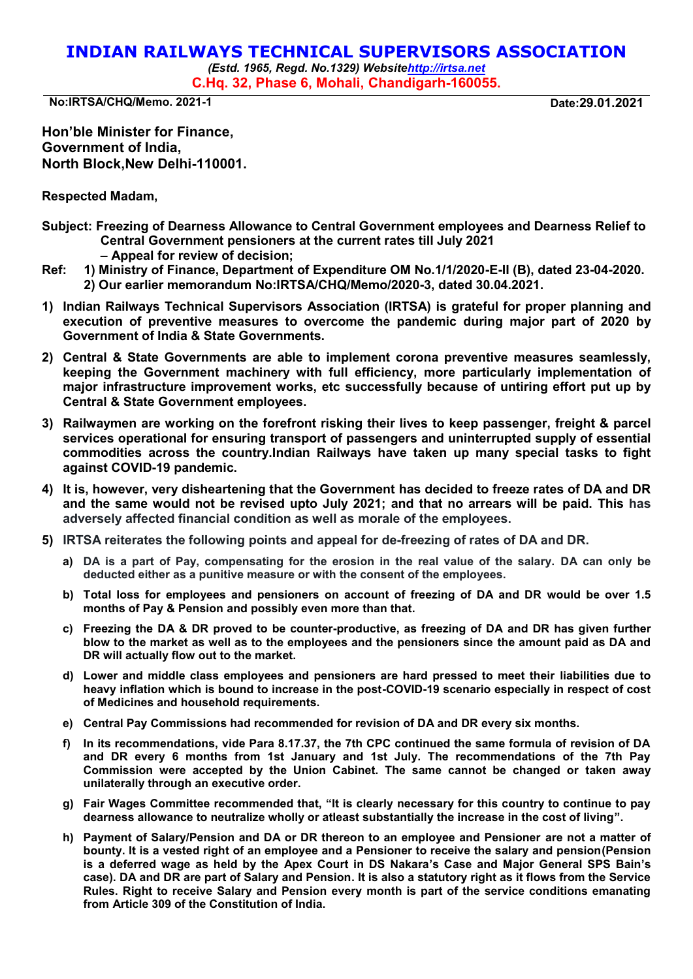## **INDIAN RAILWAYS TECHNICAL SUPERVISORS ASSOCIATION**

*(Estd. 1965, Regd. No.1329) Websit[ehttp://irtsa.net](http://irtsa.net/)*  **C.Hq. 32, Phase 6, Mohali, Chandigarh-160055.** 

**No:IRTSA/CHQ/Memo. 2021-1 Date:29.01.2021** 

**Hon'ble Minister for Finance, Government of India, North Block,New Delhi-110001.**

**Respected Madam,** 

- **Subject: Freezing of Dearness Allowance to Central Government employees and Dearness Relief to Central Government pensioners at the current rates till July 2021** 
	- **– Appeal for review of decision;**
- **Ref: 1) Ministry of Finance, Department of Expenditure OM No.1/1/2020-E-II (B), dated 23-04-2020. 2) Our earlier memorandum No:IRTSA/CHQ/Memo/2020-3, dated 30.04.2021.**
- **1) Indian Railways Technical Supervisors Association (IRTSA) is grateful for proper planning and execution of preventive measures to overcome the pandemic during major part of 2020 by Government of India & State Governments.**
- **2) Central & State Governments are able to implement corona preventive measures seamlessly, keeping the Government machinery with full efficiency, more particularly implementation of major infrastructure improvement works, etc successfully because of untiring effort put up by Central & State Government employees.**
- **3) Railwaymen are working on the forefront risking their lives to keep passenger, freight & parcel services operational for ensuring transport of passengers and uninterrupted supply of essential commodities across the country.Indian Railways have taken up many special tasks to fight against COVID-19 pandemic.**
- **4) It is, however, very disheartening that the Government has decided to freeze rates of DA and DR and the same would not be revised upto July 2021; and that no arrears will be paid. This has adversely affected financial condition as well as morale of the employees.**
- **5) IRTSA reiterates the following points and appeal for de-freezing of rates of DA and DR.**
	- **a) DA is a part of Pay, compensating for the erosion in the real value of the salary. DA can only be deducted either as a punitive measure or with the consent of the employees.**
	- **b) Total loss for employees and pensioners on account of freezing of DA and DR would be over 1.5 months of Pay & Pension and possibly even more than that.**
	- **c) Freezing the DA & DR proved to be counter-productive, as freezing of DA and DR has given further blow to the market as well as to the employees and the pensioners since the amount paid as DA and DR will actually flow out to the market.**
	- **d) Lower and middle class employees and pensioners are hard pressed to meet their liabilities due to heavy inflation which is bound to increase in the post-COVID-19 scenario especially in respect of cost of Medicines and household requirements.**
	- **e) Central Pay Commissions had recommended for revision of DA and DR every six months.**
	- **f) In its recommendations, vide Para 8.17.37, the 7th CPC continued the same formula of revision of DA and DR every 6 months from 1st January and 1st July. The recommendations of the 7th Pay Commission were accepted by the Union Cabinet. The same cannot be changed or taken away unilaterally through an executive order.**
	- **g) Fair Wages Committee recommended that, "It is clearly necessary for this country to continue to pay dearness allowance to neutralize wholly or atleast substantially the increase in the cost of living".**
	- **h) Payment of Salary/Pension and DA or DR thereon to an employee and Pensioner are not a matter of bounty. It is a vested right of an employee and a Pensioner to receive the salary and pension(Pension is a deferred wage as held by the Apex Court in DS Nakara's Case and Major General SPS Bain's case). DA and DR are part of Salary and Pension. It is also a statutory right as it flows from the Service Rules. Right to receive Salary and Pension every month is part of the service conditions emanating from Article 309 of the Constitution of India.**